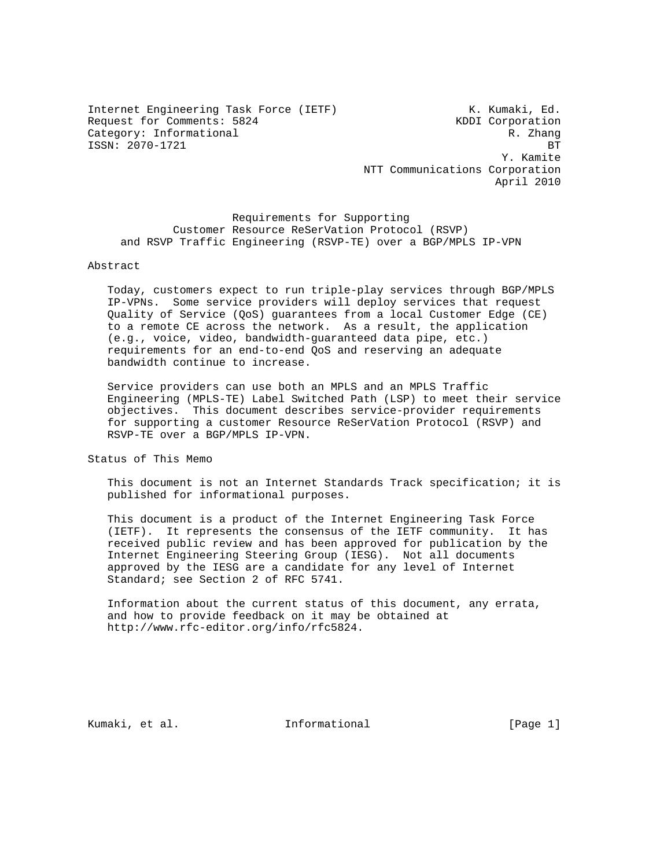Internet Engineering Task Force (IETF) K. Kumaki, Ed. Request for Comments: 5824 KDDI Corporation Category: Informational R. Zhang ISSN: 2070-1721 BT

 Y. Kamite NTT Communications Corporation April 2010

 Requirements for Supporting Customer Resource ReSerVation Protocol (RSVP) and RSVP Traffic Engineering (RSVP-TE) over a BGP/MPLS IP-VPN

### Abstract

 Today, customers expect to run triple-play services through BGP/MPLS IP-VPNs. Some service providers will deploy services that request Quality of Service (QoS) guarantees from a local Customer Edge (CE) to a remote CE across the network. As a result, the application (e.g., voice, video, bandwidth-guaranteed data pipe, etc.) requirements for an end-to-end QoS and reserving an adequate bandwidth continue to increase.

 Service providers can use both an MPLS and an MPLS Traffic Engineering (MPLS-TE) Label Switched Path (LSP) to meet their service objectives. This document describes service-provider requirements for supporting a customer Resource ReSerVation Protocol (RSVP) and RSVP-TE over a BGP/MPLS IP-VPN.

Status of This Memo

 This document is not an Internet Standards Track specification; it is published for informational purposes.

 This document is a product of the Internet Engineering Task Force (IETF). It represents the consensus of the IETF community. It has received public review and has been approved for publication by the Internet Engineering Steering Group (IESG). Not all documents approved by the IESG are a candidate for any level of Internet Standard; see Section 2 of RFC 5741.

 Information about the current status of this document, any errata, and how to provide feedback on it may be obtained at http://www.rfc-editor.org/info/rfc5824.

Kumaki, et al. 10 Informational [Page 1]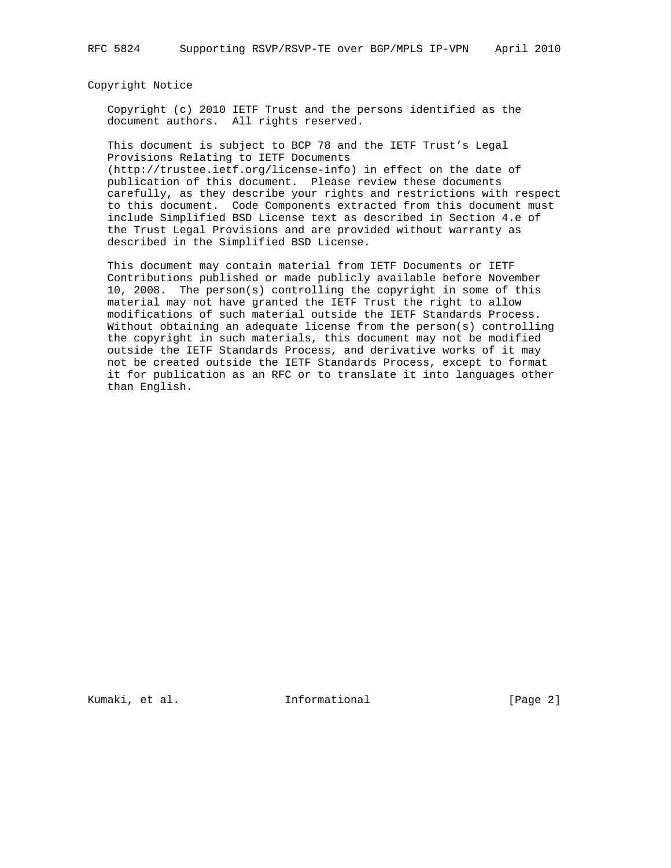Copyright Notice

 Copyright (c) 2010 IETF Trust and the persons identified as the document authors. All rights reserved.

 This document is subject to BCP 78 and the IETF Trust's Legal Provisions Relating to IETF Documents (http://trustee.ietf.org/license-info) in effect on the date of publication of this document. Please review these documents carefully, as they describe your rights and restrictions with respect to this document. Code Components extracted from this document must include Simplified BSD License text as described in Section 4.e of the Trust Legal Provisions and are provided without warranty as described in the Simplified BSD License.

 This document may contain material from IETF Documents or IETF Contributions published or made publicly available before November 10, 2008. The person(s) controlling the copyright in some of this material may not have granted the IETF Trust the right to allow modifications of such material outside the IETF Standards Process. Without obtaining an adequate license from the person(s) controlling the copyright in such materials, this document may not be modified outside the IETF Standards Process, and derivative works of it may not be created outside the IETF Standards Process, except to format it for publication as an RFC or to translate it into languages other than English.

Kumaki, et al. 10 millionational [Page 2]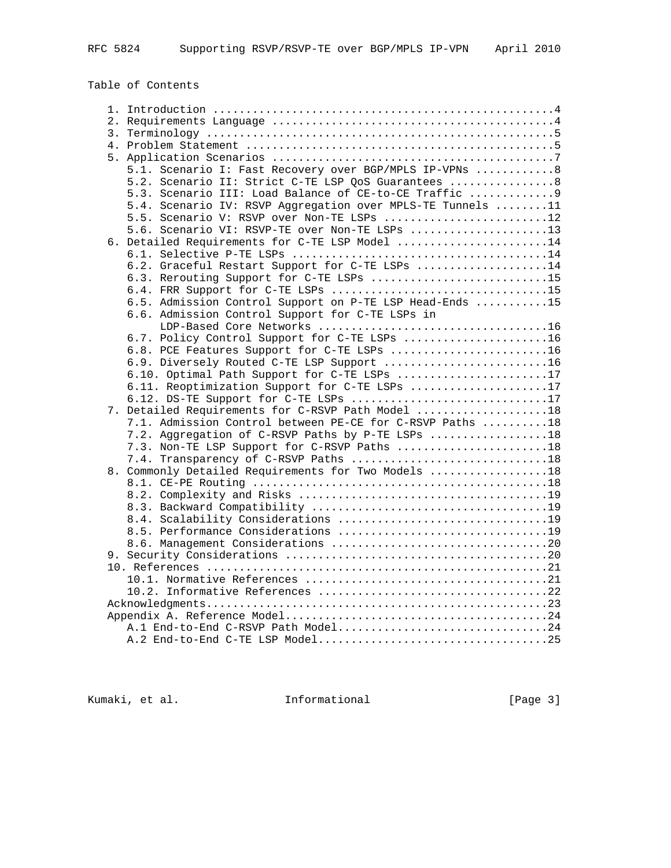RFC 5824 Supporting RSVP/RSVP-TE over BGP/MPLS IP-VPN April 2010

Table of Contents

| 5.1. Scenario I: Fast Recovery over BGP/MPLS IP-VPNs  8    |  |
|------------------------------------------------------------|--|
| 5.2. Scenario II: Strict C-TE LSP QoS Guarantees  8        |  |
| 5.3. Scenario III: Load Balance of CE-to-CE Traffic  9     |  |
| 5.4. Scenario IV: RSVP Aggregation over MPLS-TE Tunnels 11 |  |
| 5.5. Scenario V: RSVP over Non-TE LSPs 12                  |  |
| 5.6. Scenario VI: RSVP-TE over Non-TE LSPs 13              |  |
| 6. Detailed Requirements for C-TE LSP Model 14             |  |
|                                                            |  |
| 6.2. Graceful Restart Support for C-TE LSPs 14             |  |
| 6.3. Rerouting Support for C-TE LSPs 15                    |  |
| 6.4. FRR Support for C-TE LSPs 15                          |  |
| 6.5. Admission Control Support on P-TE LSP Head-Ends 15    |  |
| 6.6. Admission Control Support for C-TE LSPs in            |  |
|                                                            |  |
| 6.7. Policy Control Support for C-TE LSPs 16               |  |
| 6.8. PCE Features Support for C-TE LSPs 16                 |  |
| 6.9. Diversely Routed C-TE LSP Support 16                  |  |
| 6.10. Optimal Path Support for C-TE LSPs 17                |  |
| 6.11. Reoptimization Support for C-TE LSPs 17              |  |
| 6.12. DS-TE Support for C-TE LSPs 17                       |  |
| 7. Detailed Requirements for C-RSVP Path Model 18          |  |
| 7.1. Admission Control between PE-CE for C-RSVP Paths 18   |  |
| 7.2. Aggregation of C-RSVP Paths by P-TE LSPs 18           |  |
| 7.3. Non-TE LSP Support for C-RSVP Paths 18                |  |
|                                                            |  |
| 8. Commonly Detailed Requirements for Two Models 18        |  |
|                                                            |  |
|                                                            |  |
|                                                            |  |
|                                                            |  |
|                                                            |  |
|                                                            |  |
|                                                            |  |
|                                                            |  |
|                                                            |  |
|                                                            |  |
|                                                            |  |
|                                                            |  |
| A.1 End-to-End C-RSVP Path Model24                         |  |
|                                                            |  |

Kumaki, et al. 1nformational [Page 3]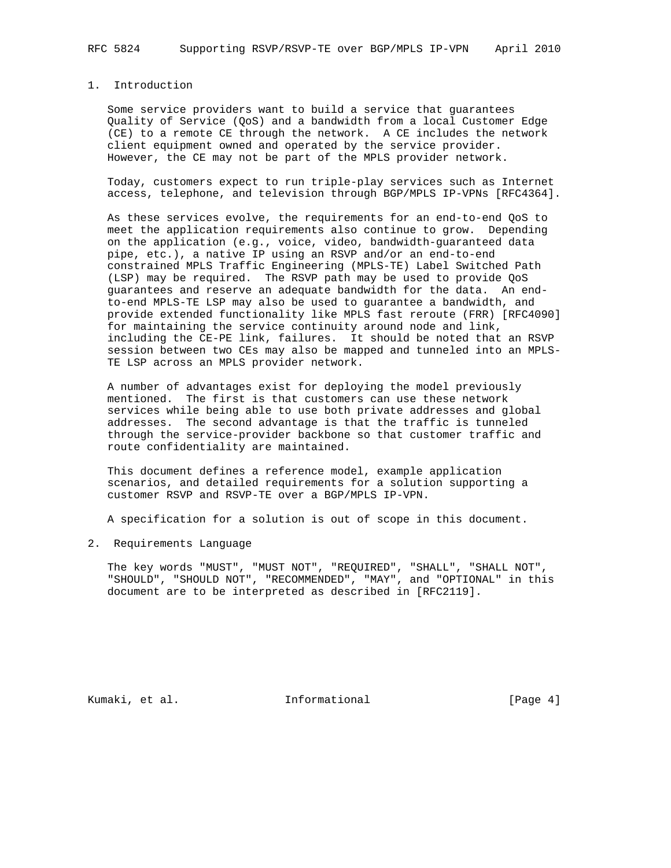# 1. Introduction

 Some service providers want to build a service that guarantees Quality of Service (QoS) and a bandwidth from a local Customer Edge (CE) to a remote CE through the network. A CE includes the network client equipment owned and operated by the service provider. However, the CE may not be part of the MPLS provider network.

 Today, customers expect to run triple-play services such as Internet access, telephone, and television through BGP/MPLS IP-VPNs [RFC4364].

 As these services evolve, the requirements for an end-to-end QoS to meet the application requirements also continue to grow. Depending on the application (e.g., voice, video, bandwidth-guaranteed data pipe, etc.), a native IP using an RSVP and/or an end-to-end constrained MPLS Traffic Engineering (MPLS-TE) Label Switched Path (LSP) may be required. The RSVP path may be used to provide QoS guarantees and reserve an adequate bandwidth for the data. An end to-end MPLS-TE LSP may also be used to guarantee a bandwidth, and provide extended functionality like MPLS fast reroute (FRR) [RFC4090] for maintaining the service continuity around node and link, including the CE-PE link, failures. It should be noted that an RSVP session between two CEs may also be mapped and tunneled into an MPLS- TE LSP across an MPLS provider network.

 A number of advantages exist for deploying the model previously mentioned. The first is that customers can use these network services while being able to use both private addresses and global addresses. The second advantage is that the traffic is tunneled through the service-provider backbone so that customer traffic and route confidentiality are maintained.

 This document defines a reference model, example application scenarios, and detailed requirements for a solution supporting a customer RSVP and RSVP-TE over a BGP/MPLS IP-VPN.

A specification for a solution is out of scope in this document.

2. Requirements Language

 The key words "MUST", "MUST NOT", "REQUIRED", "SHALL", "SHALL NOT", "SHOULD", "SHOULD NOT", "RECOMMENDED", "MAY", and "OPTIONAL" in this document are to be interpreted as described in [RFC2119].

Kumaki, et al. 10 Informational 1999 [Page 4]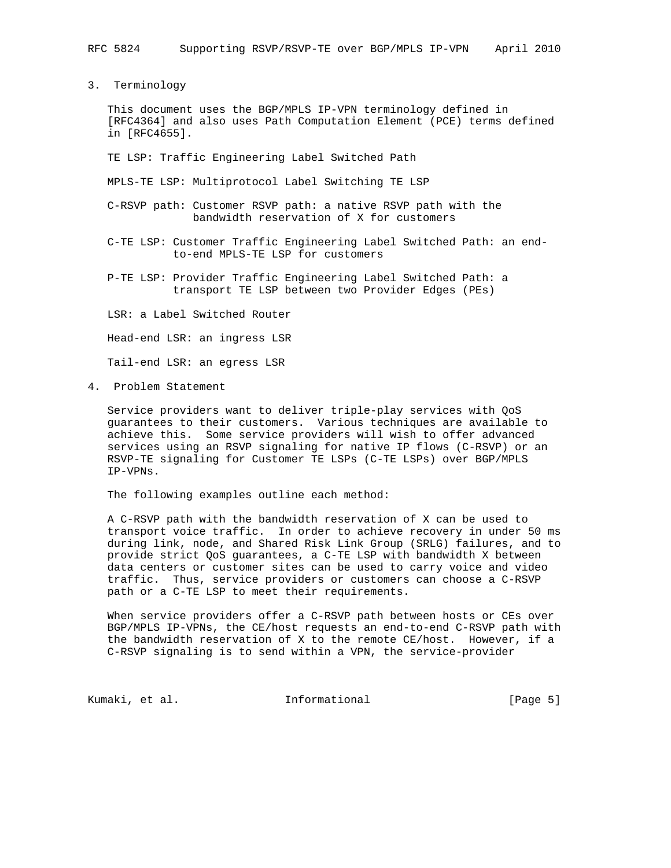3. Terminology

 This document uses the BGP/MPLS IP-VPN terminology defined in [RFC4364] and also uses Path Computation Element (PCE) terms defined in [RFC4655].

TE LSP: Traffic Engineering Label Switched Path

MPLS-TE LSP: Multiprotocol Label Switching TE LSP

- C-RSVP path: Customer RSVP path: a native RSVP path with the bandwidth reservation of X for customers
- C-TE LSP: Customer Traffic Engineering Label Switched Path: an end to-end MPLS-TE LSP for customers
- P-TE LSP: Provider Traffic Engineering Label Switched Path: a transport TE LSP between two Provider Edges (PEs)

LSR: a Label Switched Router

Head-end LSR: an ingress LSR

Tail-end LSR: an egress LSR

4. Problem Statement

 Service providers want to deliver triple-play services with QoS guarantees to their customers. Various techniques are available to achieve this. Some service providers will wish to offer advanced services using an RSVP signaling for native IP flows (C-RSVP) or an RSVP-TE signaling for Customer TE LSPs (C-TE LSPs) over BGP/MPLS IP-VPNs.

The following examples outline each method:

 A C-RSVP path with the bandwidth reservation of X can be used to transport voice traffic. In order to achieve recovery in under 50 ms during link, node, and Shared Risk Link Group (SRLG) failures, and to provide strict QoS guarantees, a C-TE LSP with bandwidth X between data centers or customer sites can be used to carry voice and video traffic. Thus, service providers or customers can choose a C-RSVP path or a C-TE LSP to meet their requirements.

 When service providers offer a C-RSVP path between hosts or CEs over BGP/MPLS IP-VPNs, the CE/host requests an end-to-end C-RSVP path with the bandwidth reservation of X to the remote CE/host. However, if a C-RSVP signaling is to send within a VPN, the service-provider

Kumaki, et al. 10 mm = Informational 1 mm = [Page 5]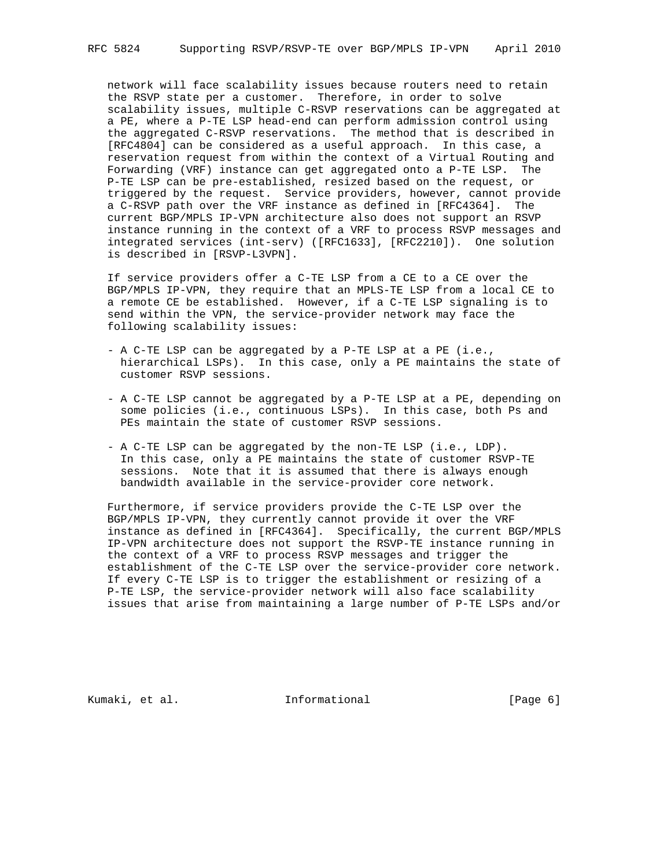network will face scalability issues because routers need to retain the RSVP state per a customer. Therefore, in order to solve scalability issues, multiple C-RSVP reservations can be aggregated at a PE, where a P-TE LSP head-end can perform admission control using the aggregated C-RSVP reservations. The method that is described in [RFC4804] can be considered as a useful approach. In this case, a reservation request from within the context of a Virtual Routing and Forwarding (VRF) instance can get aggregated onto a P-TE LSP. The P-TE LSP can be pre-established, resized based on the request, or triggered by the request. Service providers, however, cannot provide a C-RSVP path over the VRF instance as defined in [RFC4364]. The current BGP/MPLS IP-VPN architecture also does not support an RSVP instance running in the context of a VRF to process RSVP messages and integrated services (int-serv) ([RFC1633], [RFC2210]). One solution is described in [RSVP-L3VPN].

 If service providers offer a C-TE LSP from a CE to a CE over the BGP/MPLS IP-VPN, they require that an MPLS-TE LSP from a local CE to a remote CE be established. However, if a C-TE LSP signaling is to send within the VPN, the service-provider network may face the following scalability issues:

- A C-TE LSP can be aggregated by a P-TE LSP at a PE (i.e., hierarchical LSPs). In this case, only a PE maintains the state of customer RSVP sessions.
- A C-TE LSP cannot be aggregated by a P-TE LSP at a PE, depending on some policies (i.e., continuous LSPs). In this case, both Ps and PEs maintain the state of customer RSVP sessions.
- A C-TE LSP can be aggregated by the non-TE LSP (i.e., LDP). In this case, only a PE maintains the state of customer RSVP-TE sessions. Note that it is assumed that there is always enough bandwidth available in the service-provider core network.

 Furthermore, if service providers provide the C-TE LSP over the BGP/MPLS IP-VPN, they currently cannot provide it over the VRF instance as defined in [RFC4364]. Specifically, the current BGP/MPLS IP-VPN architecture does not support the RSVP-TE instance running in the context of a VRF to process RSVP messages and trigger the establishment of the C-TE LSP over the service-provider core network. If every C-TE LSP is to trigger the establishment or resizing of a P-TE LSP, the service-provider network will also face scalability issues that arise from maintaining a large number of P-TE LSPs and/or

Kumaki, et al. 10 mm informational [Page 6]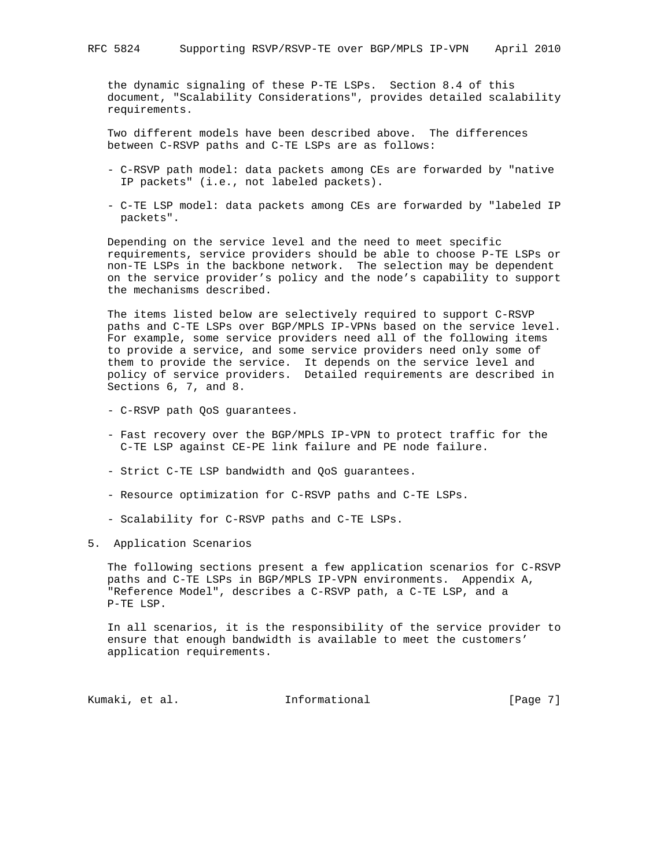the dynamic signaling of these P-TE LSPs. Section 8.4 of this document, "Scalability Considerations", provides detailed scalability requirements.

 Two different models have been described above. The differences between C-RSVP paths and C-TE LSPs are as follows:

- C-RSVP path model: data packets among CEs are forwarded by "native IP packets" (i.e., not labeled packets).
- C-TE LSP model: data packets among CEs are forwarded by "labeled IP packets".

 Depending on the service level and the need to meet specific requirements, service providers should be able to choose P-TE LSPs or non-TE LSPs in the backbone network. The selection may be dependent on the service provider's policy and the node's capability to support the mechanisms described.

 The items listed below are selectively required to support C-RSVP paths and C-TE LSPs over BGP/MPLS IP-VPNs based on the service level. For example, some service providers need all of the following items to provide a service, and some service providers need only some of them to provide the service. It depends on the service level and policy of service providers. Detailed requirements are described in Sections 6, 7, and 8.

- C-RSVP path QoS guarantees.
- Fast recovery over the BGP/MPLS IP-VPN to protect traffic for the C-TE LSP against CE-PE link failure and PE node failure.
- Strict C-TE LSP bandwidth and QoS guarantees.
- Resource optimization for C-RSVP paths and C-TE LSPs.
- Scalability for C-RSVP paths and C-TE LSPs.
- 5. Application Scenarios

 The following sections present a few application scenarios for C-RSVP paths and C-TE LSPs in BGP/MPLS IP-VPN environments. Appendix A, "Reference Model", describes a C-RSVP path, a C-TE LSP, and a P-TE LSP.

 In all scenarios, it is the responsibility of the service provider to ensure that enough bandwidth is available to meet the customers' application requirements.

Kumaki, et al. 10 mm = Informational 10 mm = [Page 7]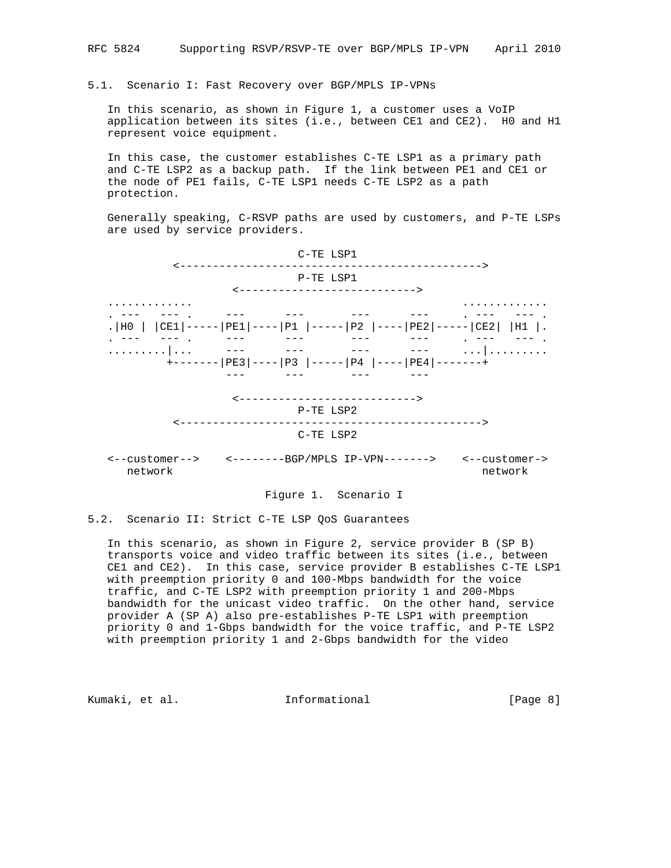### 5.1. Scenario I: Fast Recovery over BGP/MPLS IP-VPNs

 In this scenario, as shown in Figure 1, a customer uses a VoIP application between its sites (i.e., between CE1 and CE2). H0 and H1 represent voice equipment.

 In this case, the customer establishes C-TE LSP1 as a primary path and C-TE LSP2 as a backup path. If the link between PE1 and CE1 or the node of PE1 fails, C-TE LSP1 needs C-TE LSP2 as a path protection.

 Generally speaking, C-RSVP paths are used by customers, and P-TE LSPs are used by service providers.



### Figure 1. Scenario I

5.2. Scenario II: Strict C-TE LSP QoS Guarantees

 In this scenario, as shown in Figure 2, service provider B (SP B) transports voice and video traffic between its sites (i.e., between CE1 and CE2). In this case, service provider B establishes C-TE LSP1 with preemption priority 0 and 100-Mbps bandwidth for the voice traffic, and C-TE LSP2 with preemption priority 1 and 200-Mbps bandwidth for the unicast video traffic. On the other hand, service provider A (SP A) also pre-establishes P-TE LSP1 with preemption priority 0 and 1-Gbps bandwidth for the voice traffic, and P-TE LSP2 with preemption priority 1 and 2-Gbps bandwidth for the video

Kumaki, et al. Informational [Page 8]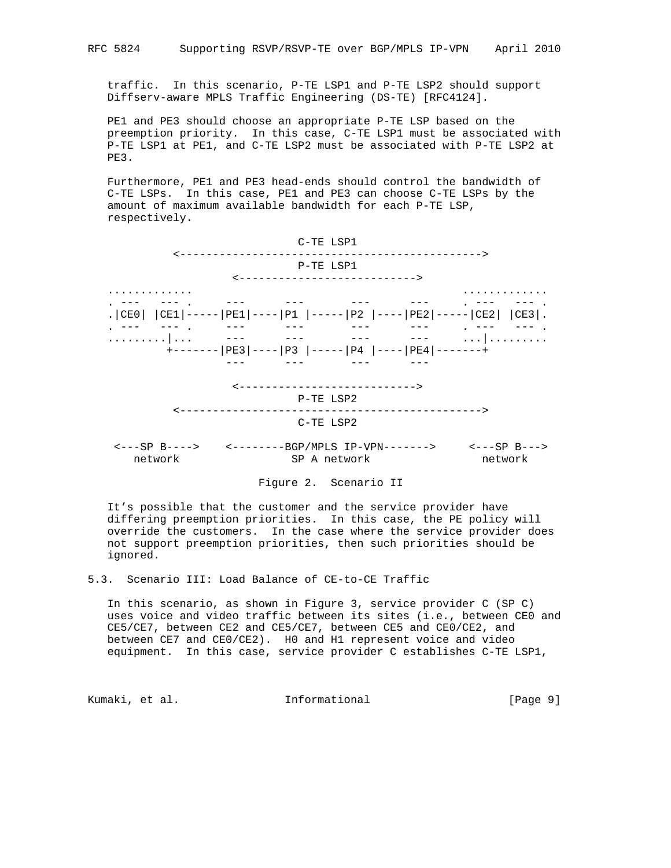traffic. In this scenario, P-TE LSP1 and P-TE LSP2 should support Diffserv-aware MPLS Traffic Engineering (DS-TE) [RFC4124].

 PE1 and PE3 should choose an appropriate P-TE LSP based on the preemption priority. In this case, C-TE LSP1 must be associated with P-TE LSP1 at PE1, and C-TE LSP2 must be associated with P-TE LSP2 at PE3.

 Furthermore, PE1 and PE3 head-ends should control the bandwidth of C-TE LSPs. In this case, PE1 and PE3 can choose C-TE LSPs by the amount of maximum available bandwidth for each P-TE LSP, respectively.



## Figure 2. Scenario II

 It's possible that the customer and the service provider have differing preemption priorities. In this case, the PE policy will override the customers. In the case where the service provider does not support preemption priorities, then such priorities should be ignored.

5.3. Scenario III: Load Balance of CE-to-CE Traffic

 In this scenario, as shown in Figure 3, service provider C (SP C) uses voice and video traffic between its sites (i.e., between CE0 and CE5/CE7, between CE2 and CE5/CE7, between CE5 and CE0/CE2, and between CE7 and CE0/CE2). H0 and H1 represent voice and video equipment. In this case, service provider C establishes C-TE LSP1,

Kumaki, et al. 10 mm informational [Page 9]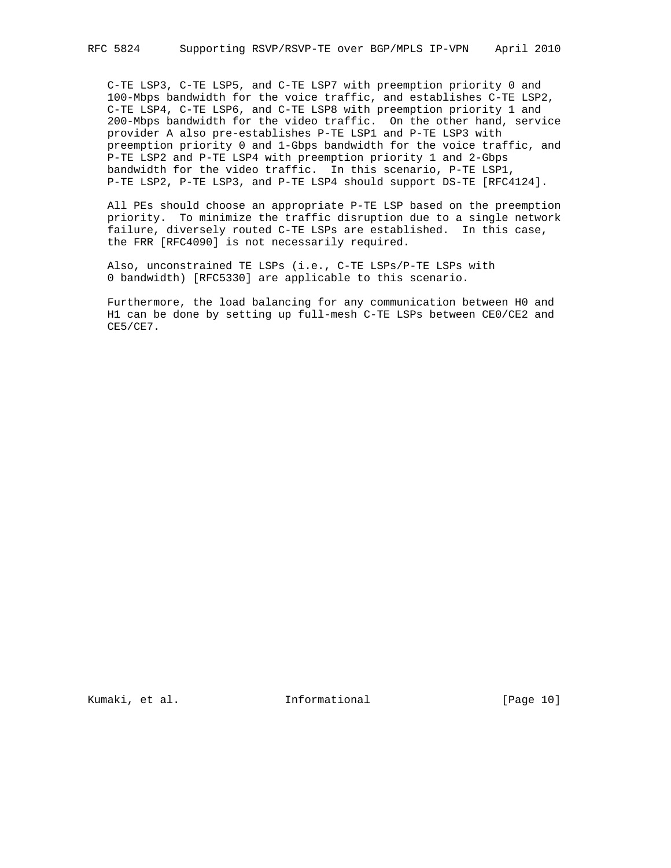C-TE LSP3, C-TE LSP5, and C-TE LSP7 with preemption priority 0 and 100-Mbps bandwidth for the voice traffic, and establishes C-TE LSP2, C-TE LSP4, C-TE LSP6, and C-TE LSP8 with preemption priority 1 and 200-Mbps bandwidth for the video traffic. On the other hand, service provider A also pre-establishes P-TE LSP1 and P-TE LSP3 with preemption priority 0 and 1-Gbps bandwidth for the voice traffic, and P-TE LSP2 and P-TE LSP4 with preemption priority 1 and 2-Gbps bandwidth for the video traffic. In this scenario, P-TE LSP1, P-TE LSP2, P-TE LSP3, and P-TE LSP4 should support DS-TE [RFC4124].

 All PEs should choose an appropriate P-TE LSP based on the preemption priority. To minimize the traffic disruption due to a single network failure, diversely routed C-TE LSPs are established. In this case, the FRR [RFC4090] is not necessarily required.

 Also, unconstrained TE LSPs (i.e., C-TE LSPs/P-TE LSPs with 0 bandwidth) [RFC5330] are applicable to this scenario.

 Furthermore, the load balancing for any communication between H0 and H1 can be done by setting up full-mesh C-TE LSPs between CE0/CE2 and CE5/CE7.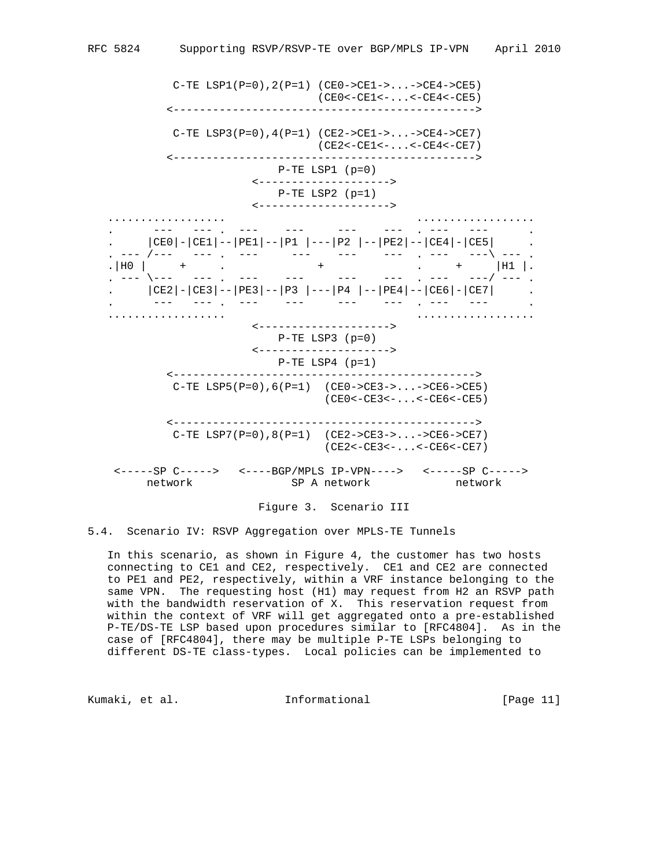C-TE LSP1(P=0),2(P=1) (CE0->CE1->...->CE4->CE5) (CE0<-CE1<-...<-CE4<-CE5) <----------------------------------------------> C-TE  $LSP3(P=0)$ ,  $4(P=1)$  (CE2->CE1->...->CE4->CE7) (CE2<-CE1<-...<-CE4<-CE7) <----------------------------------------------> P-TE LSP1 (p=0) <--------------------> P-TE LSP2 (p=1) <--------------------> .................. .................. . --- --- . --- --- --- --- . --- --- . . |CE0|-|CE1|--|PE1|--|P1 |---|P2 |--|PE2|--|CE4|-|CE5| . . --- /--- --- . --- --- --- --- . --- ---\ --- . .|H0 | + . + . + |H1 |. . --- \--- --- . --- --- --- --- . --- ---/ --- . . |CE2|-|CE3|--|PE3|--|P3 |---|P4 |--|PE4|--|CE6|-|CE7| . . --- --- . --- --- --- --- . --- --- . .................. .................. <--------------------> P-TE LSP3 (p=0) <--------------------> P-TE LSP4 (p=1) <----------------------------------------------> C-TE LSP5(P=0),6(P=1) (CE0->CE3->...->CE6->CE5) (CE0<-CE3<-...<-CE6<-CE5) <----------------------------------------------> C-TE LSP7(P=0),8(P=1) (CE2->CE3->...->CE6->CE7) (CE2<-CE3<-...<-CE6<-CE7) <-----SP C-----> <----BGP/MPLS IP-VPN----> <-----SP C-----> network SP A network network

Figure 3. Scenario III

5.4. Scenario IV: RSVP Aggregation over MPLS-TE Tunnels

 In this scenario, as shown in Figure 4, the customer has two hosts connecting to CE1 and CE2, respectively. CE1 and CE2 are connected to PE1 and PE2, respectively, within a VRF instance belonging to the same VPN. The requesting host (H1) may request from H2 an RSVP path with the bandwidth reservation of X. This reservation request from within the context of VRF will get aggregated onto a pre-established P-TE/DS-TE LSP based upon procedures similar to [RFC4804]. As in the case of [RFC4804], there may be multiple P-TE LSPs belonging to different DS-TE class-types. Local policies can be implemented to

Kumaki, et al. Informational [Page 11]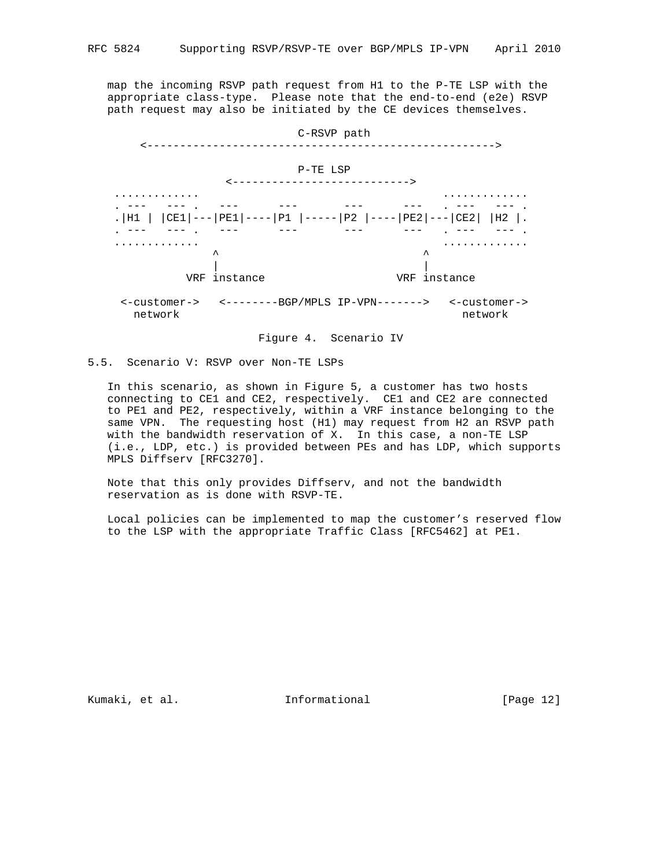map the incoming RSVP path request from H1 to the P-TE LSP with the appropriate class-type. Please note that the end-to-end (e2e) RSVP path request may also be initiated by the CE devices themselves.



Figure 4. Scenario IV

# 5.5. Scenario V: RSVP over Non-TE LSPs

 In this scenario, as shown in Figure 5, a customer has two hosts connecting to CE1 and CE2, respectively. CE1 and CE2 are connected to PE1 and PE2, respectively, within a VRF instance belonging to the same VPN. The requesting host (H1) may request from H2 an RSVP path with the bandwidth reservation of X. In this case, a non-TE LSP (i.e., LDP, etc.) is provided between PEs and has LDP, which supports MPLS Diffserv [RFC3270].

 Note that this only provides Diffserv, and not the bandwidth reservation as is done with RSVP-TE.

 Local policies can be implemented to map the customer's reserved flow to the LSP with the appropriate Traffic Class [RFC5462] at PE1.

Kumaki, et al. 10 millionational [Page 12]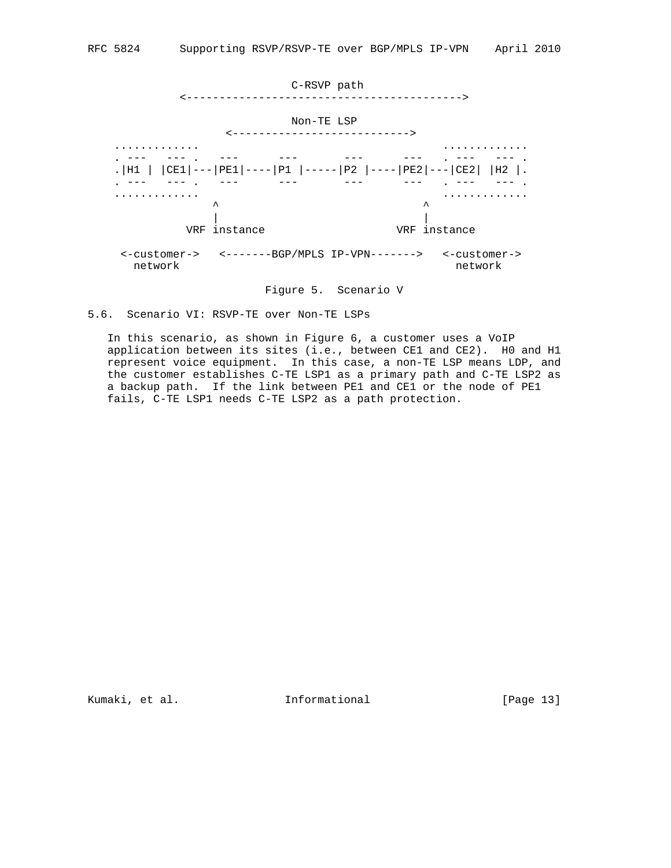

Figure 5. Scenario V

 In this scenario, as shown in Figure 6, a customer uses a VoIP application between its sites (i.e., between CE1 and CE2). H0 and H1 represent voice equipment. In this case, a non-TE LSP means LDP, and the customer establishes C-TE LSP1 as a primary path and C-TE LSP2 as a backup path. If the link between PE1 and CE1 or the node of PE1 fails, C-TE LSP1 needs C-TE LSP2 as a path protection.

Kumaki, et al. 10 mm informational [Page 13]

<sup>5.6.</sup> Scenario VI: RSVP-TE over Non-TE LSPs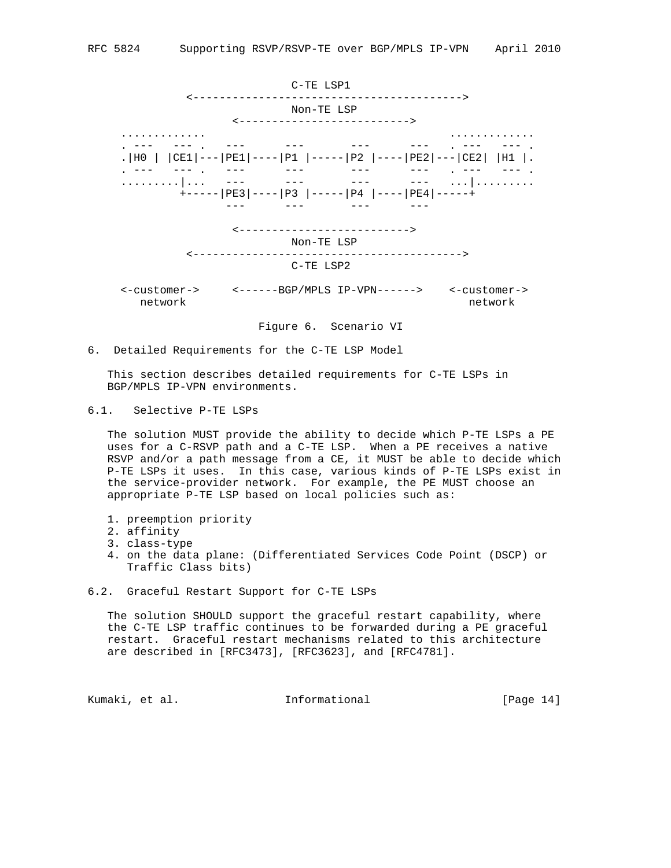

6. Detailed Requirements for the C-TE LSP Model

 This section describes detailed requirements for C-TE LSPs in BGP/MPLS IP-VPN environments.

6.1. Selective P-TE LSPs

 The solution MUST provide the ability to decide which P-TE LSPs a PE uses for a C-RSVP path and a C-TE LSP. When a PE receives a native RSVP and/or a path message from a CE, it MUST be able to decide which P-TE LSPs it uses. In this case, various kinds of P-TE LSPs exist in the service-provider network. For example, the PE MUST choose an appropriate P-TE LSP based on local policies such as:

- 1. preemption priority
- 2. affinity
- 3. class-type
- 4. on the data plane: (Differentiated Services Code Point (DSCP) or Traffic Class bits)
- 6.2. Graceful Restart Support for C-TE LSPs

 The solution SHOULD support the graceful restart capability, where the C-TE LSP traffic continues to be forwarded during a PE graceful restart. Graceful restart mechanisms related to this architecture are described in [RFC3473], [RFC3623], and [RFC4781].

Kumaki, et al. Informational [Page 14]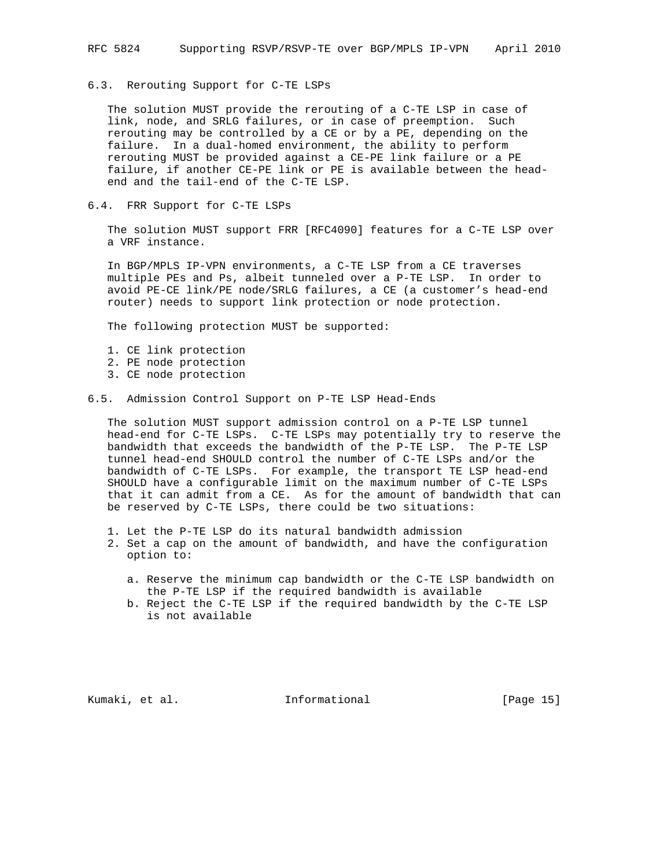## 6.3. Rerouting Support for C-TE LSPs

 The solution MUST provide the rerouting of a C-TE LSP in case of link, node, and SRLG failures, or in case of preemption. Such rerouting may be controlled by a CE or by a PE, depending on the failure. In a dual-homed environment, the ability to perform rerouting MUST be provided against a CE-PE link failure or a PE failure, if another CE-PE link or PE is available between the head end and the tail-end of the C-TE LSP.

6.4. FRR Support for C-TE LSPs

 The solution MUST support FRR [RFC4090] features for a C-TE LSP over a VRF instance.

 In BGP/MPLS IP-VPN environments, a C-TE LSP from a CE traverses multiple PEs and Ps, albeit tunneled over a P-TE LSP. In order to avoid PE-CE link/PE node/SRLG failures, a CE (a customer's head-end router) needs to support link protection or node protection.

The following protection MUST be supported:

- 1. CE link protection
- 2. PE node protection
- 3. CE node protection
- 6.5. Admission Control Support on P-TE LSP Head-Ends

 The solution MUST support admission control on a P-TE LSP tunnel head-end for C-TE LSPs. C-TE LSPs may potentially try to reserve the bandwidth that exceeds the bandwidth of the P-TE LSP. The P-TE LSP tunnel head-end SHOULD control the number of C-TE LSPs and/or the bandwidth of C-TE LSPs. For example, the transport TE LSP head-end SHOULD have a configurable limit on the maximum number of C-TE LSPs that it can admit from a CE. As for the amount of bandwidth that can be reserved by C-TE LSPs, there could be two situations:

- 1. Let the P-TE LSP do its natural bandwidth admission
- 2. Set a cap on the amount of bandwidth, and have the configuration option to:
	- a. Reserve the minimum cap bandwidth or the C-TE LSP bandwidth on the P-TE LSP if the required bandwidth is available
	- b. Reject the C-TE LSP if the required bandwidth by the C-TE LSP is not available

Kumaki, et al. Informational [Page 15]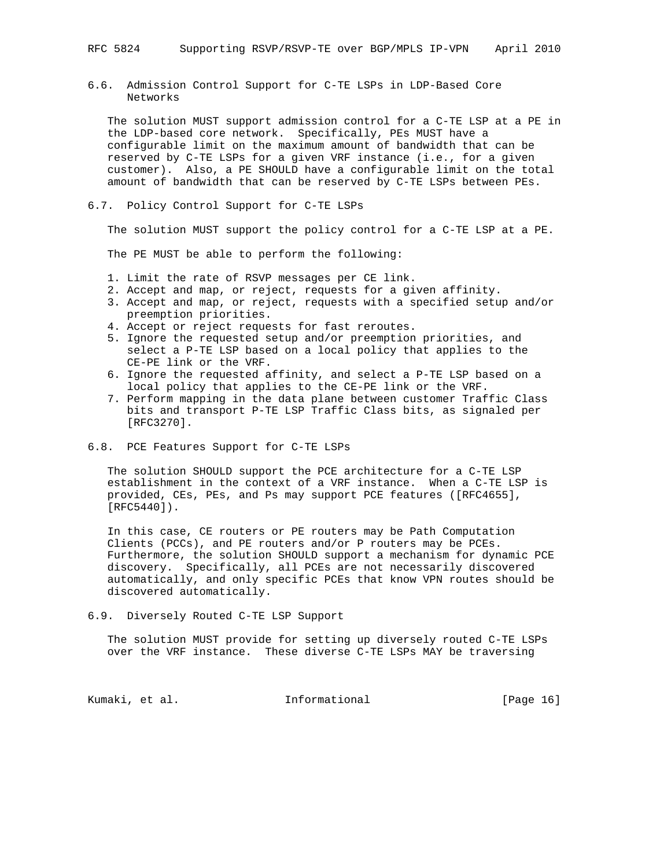6.6. Admission Control Support for C-TE LSPs in LDP-Based Core Networks

 The solution MUST support admission control for a C-TE LSP at a PE in the LDP-based core network. Specifically, PEs MUST have a configurable limit on the maximum amount of bandwidth that can be reserved by C-TE LSPs for a given VRF instance (i.e., for a given customer). Also, a PE SHOULD have a configurable limit on the total amount of bandwidth that can be reserved by C-TE LSPs between PEs.

6.7. Policy Control Support for C-TE LSPs

The solution MUST support the policy control for a C-TE LSP at a PE.

The PE MUST be able to perform the following:

- 1. Limit the rate of RSVP messages per CE link.
- 2. Accept and map, or reject, requests for a given affinity.
- 3. Accept and map, or reject, requests with a specified setup and/or preemption priorities.
- 4. Accept or reject requests for fast reroutes.
- 5. Ignore the requested setup and/or preemption priorities, and select a P-TE LSP based on a local policy that applies to the CE-PE link or the VRF.
- 6. Ignore the requested affinity, and select a P-TE LSP based on a local policy that applies to the CE-PE link or the VRF.
- 7. Perform mapping in the data plane between customer Traffic Class bits and transport P-TE LSP Traffic Class bits, as signaled per [RFC3270].

## 6.8. PCE Features Support for C-TE LSPs

 The solution SHOULD support the PCE architecture for a C-TE LSP establishment in the context of a VRF instance. When a C-TE LSP is provided, CEs, PEs, and Ps may support PCE features ([RFC4655], [RFC5440]).

 In this case, CE routers or PE routers may be Path Computation Clients (PCCs), and PE routers and/or P routers may be PCEs. Furthermore, the solution SHOULD support a mechanism for dynamic PCE discovery. Specifically, all PCEs are not necessarily discovered automatically, and only specific PCEs that know VPN routes should be discovered automatically.

6.9. Diversely Routed C-TE LSP Support

 The solution MUST provide for setting up diversely routed C-TE LSPs over the VRF instance. These diverse C-TE LSPs MAY be traversing

Kumaki, et al. 10 mm informational [Page 16]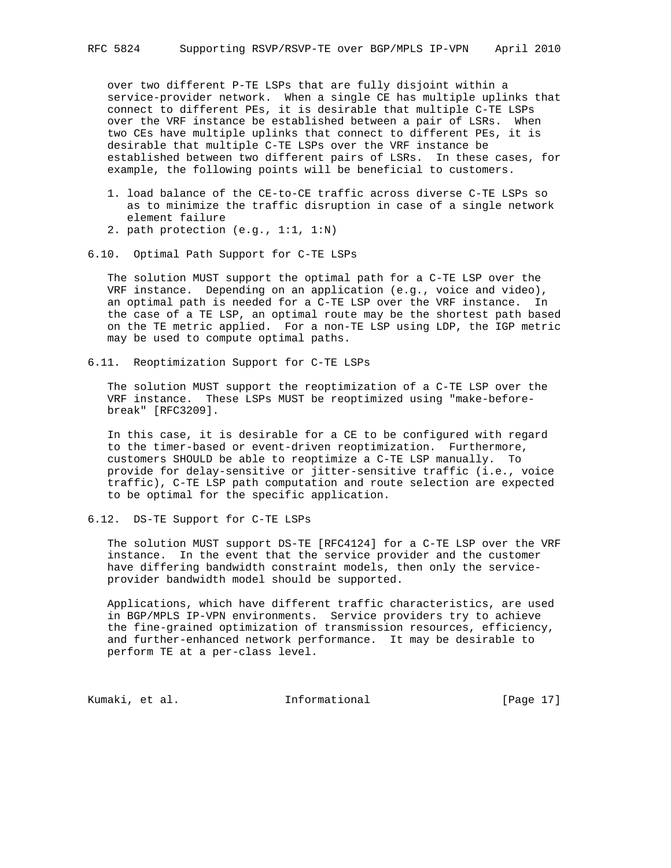over two different P-TE LSPs that are fully disjoint within a service-provider network. When a single CE has multiple uplinks that connect to different PEs, it is desirable that multiple C-TE LSPs over the VRF instance be established between a pair of LSRs. When two CEs have multiple uplinks that connect to different PEs, it is desirable that multiple C-TE LSPs over the VRF instance be established between two different pairs of LSRs. In these cases, for example, the following points will be beneficial to customers.

- 1. load balance of the CE-to-CE traffic across diverse C-TE LSPs so as to minimize the traffic disruption in case of a single network element failure
- 2. path protection (e.g., 1:1, 1:N)
- 6.10. Optimal Path Support for C-TE LSPs

 The solution MUST support the optimal path for a C-TE LSP over the VRF instance. Depending on an application (e.g., voice and video), an optimal path is needed for a C-TE LSP over the VRF instance. In the case of a TE LSP, an optimal route may be the shortest path based on the TE metric applied. For a non-TE LSP using LDP, the IGP metric may be used to compute optimal paths.

6.11. Reoptimization Support for C-TE LSPs

 The solution MUST support the reoptimization of a C-TE LSP over the VRF instance. These LSPs MUST be reoptimized using "make-before break" [RFC3209].

 In this case, it is desirable for a CE to be configured with regard to the timer-based or event-driven reoptimization. Furthermore, customers SHOULD be able to reoptimize a C-TE LSP manually. To provide for delay-sensitive or jitter-sensitive traffic (i.e., voice traffic), C-TE LSP path computation and route selection are expected to be optimal for the specific application.

6.12. DS-TE Support for C-TE LSPs

 The solution MUST support DS-TE [RFC4124] for a C-TE LSP over the VRF instance. In the event that the service provider and the customer have differing bandwidth constraint models, then only the service provider bandwidth model should be supported.

 Applications, which have different traffic characteristics, are used in BGP/MPLS IP-VPN environments. Service providers try to achieve the fine-grained optimization of transmission resources, efficiency, and further-enhanced network performance. It may be desirable to perform TE at a per-class level.

Kumaki, et al. 10 mm informational [Page 17]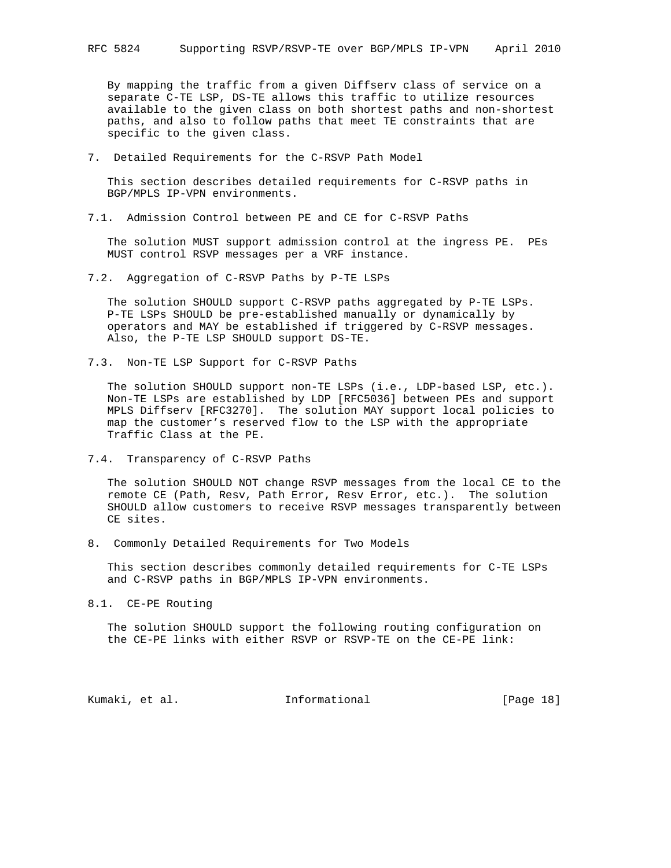By mapping the traffic from a given Diffserv class of service on a separate C-TE LSP, DS-TE allows this traffic to utilize resources available to the given class on both shortest paths and non-shortest paths, and also to follow paths that meet TE constraints that are specific to the given class.

7. Detailed Requirements for the C-RSVP Path Model

 This section describes detailed requirements for C-RSVP paths in BGP/MPLS IP-VPN environments.

7.1. Admission Control between PE and CE for C-RSVP Paths

 The solution MUST support admission control at the ingress PE. PEs MUST control RSVP messages per a VRF instance.

7.2. Aggregation of C-RSVP Paths by P-TE LSPs

 The solution SHOULD support C-RSVP paths aggregated by P-TE LSPs. P-TE LSPs SHOULD be pre-established manually or dynamically by operators and MAY be established if triggered by C-RSVP messages. Also, the P-TE LSP SHOULD support DS-TE.

7.3. Non-TE LSP Support for C-RSVP Paths

 The solution SHOULD support non-TE LSPs (i.e., LDP-based LSP, etc.). Non-TE LSPs are established by LDP [RFC5036] between PEs and support MPLS Diffserv [RFC3270]. The solution MAY support local policies to map the customer's reserved flow to the LSP with the appropriate Traffic Class at the PE.

7.4. Transparency of C-RSVP Paths

 The solution SHOULD NOT change RSVP messages from the local CE to the remote CE (Path, Resv, Path Error, Resv Error, etc.). The solution SHOULD allow customers to receive RSVP messages transparently between CE sites.

8. Commonly Detailed Requirements for Two Models

 This section describes commonly detailed requirements for C-TE LSPs and C-RSVP paths in BGP/MPLS IP-VPN environments.

8.1. CE-PE Routing

 The solution SHOULD support the following routing configuration on the CE-PE links with either RSVP or RSVP-TE on the CE-PE link:

Kumaki, et al. Informational [Page 18]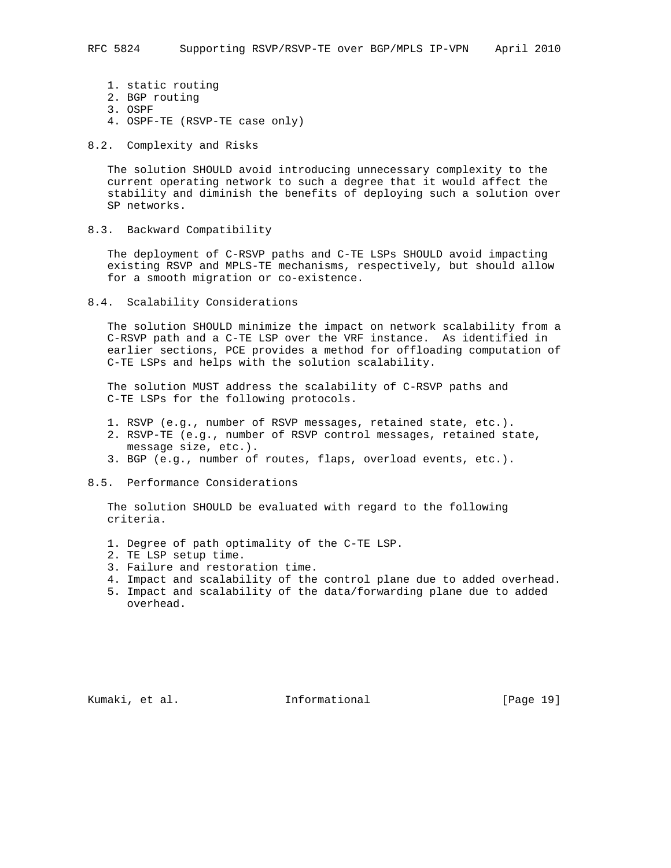- 1. static routing
- 2. BGP routing
- 3. OSPF
- 4. OSPF-TE (RSVP-TE case only)
- 8.2. Complexity and Risks

 The solution SHOULD avoid introducing unnecessary complexity to the current operating network to such a degree that it would affect the stability and diminish the benefits of deploying such a solution over SP networks.

8.3. Backward Compatibility

 The deployment of C-RSVP paths and C-TE LSPs SHOULD avoid impacting existing RSVP and MPLS-TE mechanisms, respectively, but should allow for a smooth migration or co-existence.

8.4. Scalability Considerations

 The solution SHOULD minimize the impact on network scalability from a C-RSVP path and a C-TE LSP over the VRF instance. As identified in earlier sections, PCE provides a method for offloading computation of C-TE LSPs and helps with the solution scalability.

 The solution MUST address the scalability of C-RSVP paths and C-TE LSPs for the following protocols.

- 1. RSVP (e.g., number of RSVP messages, retained state, etc.).
- 2. RSVP-TE (e.g., number of RSVP control messages, retained state, message size, etc.).
- 3. BGP (e.g., number of routes, flaps, overload events, etc.).
- 8.5. Performance Considerations

 The solution SHOULD be evaluated with regard to the following criteria.

- 1. Degree of path optimality of the C-TE LSP.
- 2. TE LSP setup time.
- 3. Failure and restoration time.
- 4. Impact and scalability of the control plane due to added overhead.
- 5. Impact and scalability of the data/forwarding plane due to added overhead.

Kumaki, et al. 10 mm informational [Page 19]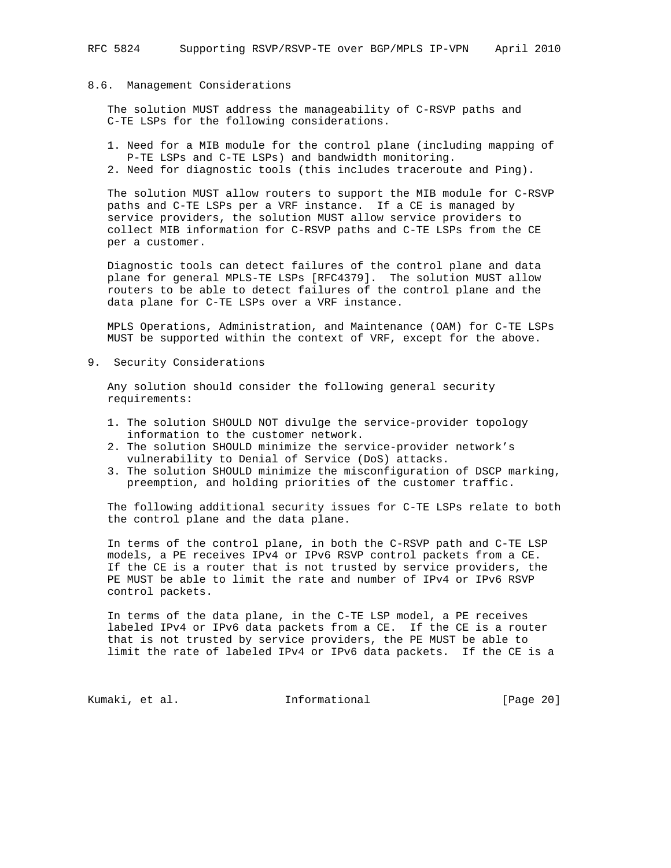### 8.6. Management Considerations

 The solution MUST address the manageability of C-RSVP paths and C-TE LSPs for the following considerations.

- 1. Need for a MIB module for the control plane (including mapping of P-TE LSPs and C-TE LSPs) and bandwidth monitoring.
- 2. Need for diagnostic tools (this includes traceroute and Ping).

 The solution MUST allow routers to support the MIB module for C-RSVP paths and C-TE LSPs per a VRF instance. If a CE is managed by service providers, the solution MUST allow service providers to collect MIB information for C-RSVP paths and C-TE LSPs from the CE per a customer.

 Diagnostic tools can detect failures of the control plane and data plane for general MPLS-TE LSPs [RFC4379]. The solution MUST allow routers to be able to detect failures of the control plane and the data plane for C-TE LSPs over a VRF instance.

 MPLS Operations, Administration, and Maintenance (OAM) for C-TE LSPs MUST be supported within the context of VRF, except for the above.

9. Security Considerations

 Any solution should consider the following general security requirements:

- 1. The solution SHOULD NOT divulge the service-provider topology information to the customer network.
- 2. The solution SHOULD minimize the service-provider network's vulnerability to Denial of Service (DoS) attacks.
- 3. The solution SHOULD minimize the misconfiguration of DSCP marking, preemption, and holding priorities of the customer traffic.

 The following additional security issues for C-TE LSPs relate to both the control plane and the data plane.

 In terms of the control plane, in both the C-RSVP path and C-TE LSP models, a PE receives IPv4 or IPv6 RSVP control packets from a CE. If the CE is a router that is not trusted by service providers, the PE MUST be able to limit the rate and number of IPv4 or IPv6 RSVP control packets.

 In terms of the data plane, in the C-TE LSP model, a PE receives labeled IPv4 or IPv6 data packets from a CE. If the CE is a router that is not trusted by service providers, the PE MUST be able to limit the rate of labeled IPv4 or IPv6 data packets. If the CE is a

Kumaki, et al. 1nformational [Page 20]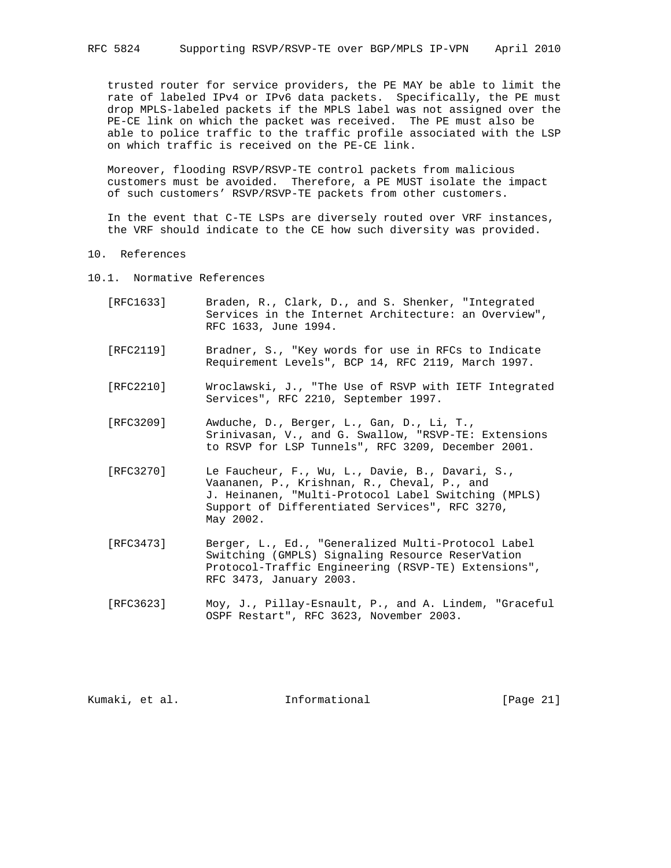trusted router for service providers, the PE MAY be able to limit the rate of labeled IPv4 or IPv6 data packets. Specifically, the PE must drop MPLS-labeled packets if the MPLS label was not assigned over the PE-CE link on which the packet was received. The PE must also be able to police traffic to the traffic profile associated with the LSP on which traffic is received on the PE-CE link.

 Moreover, flooding RSVP/RSVP-TE control packets from malicious customers must be avoided. Therefore, a PE MUST isolate the impact of such customers' RSVP/RSVP-TE packets from other customers.

 In the event that C-TE LSPs are diversely routed over VRF instances, the VRF should indicate to the CE how such diversity was provided.

- 10. References
- 10.1. Normative References
	- [RFC1633] Braden, R., Clark, D., and S. Shenker, "Integrated Services in the Internet Architecture: an Overview", RFC 1633, June 1994.
	- [RFC2119] Bradner, S., "Key words for use in RFCs to Indicate Requirement Levels", BCP 14, RFC 2119, March 1997.
	- [RFC2210] Wroclawski, J., "The Use of RSVP with IETF Integrated Services", RFC 2210, September 1997.
	- [RFC3209] Awduche, D., Berger, L., Gan, D., Li, T., Srinivasan, V., and G. Swallow, "RSVP-TE: Extensions to RSVP for LSP Tunnels", RFC 3209, December 2001.
	- [RFC3270] Le Faucheur, F., Wu, L., Davie, B., Davari, S., Vaananen, P., Krishnan, R., Cheval, P., and J. Heinanen, "Multi-Protocol Label Switching (MPLS) Support of Differentiated Services", RFC 3270, May 2002.
	- [RFC3473] Berger, L., Ed., "Generalized Multi-Protocol Label Switching (GMPLS) Signaling Resource ReserVation Protocol-Traffic Engineering (RSVP-TE) Extensions", RFC 3473, January 2003.
	- [RFC3623] Moy, J., Pillay-Esnault, P., and A. Lindem, "Graceful OSPF Restart", RFC 3623, November 2003.

Kumaki, et al. 10 mm informational [Page 21]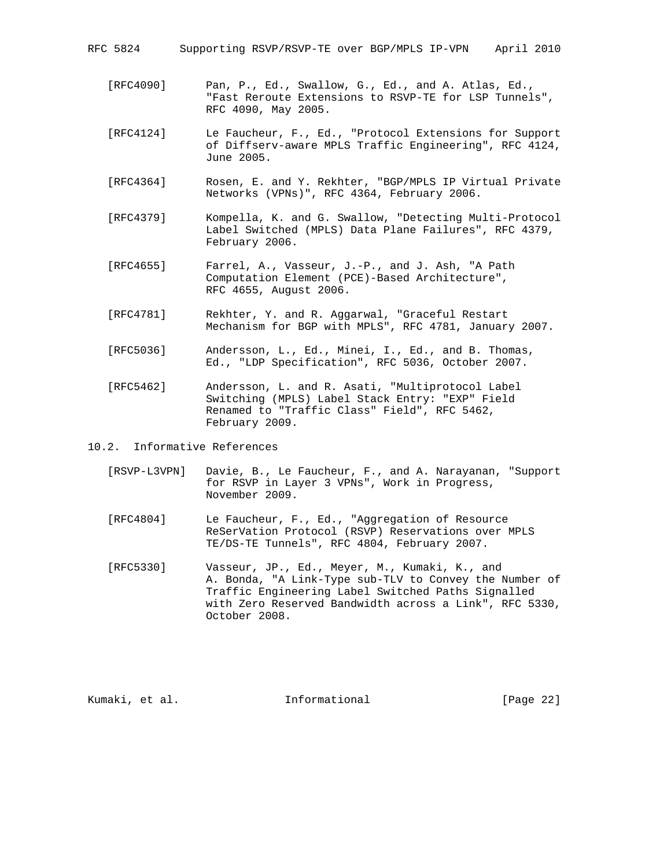RFC 5824 Supporting RSVP/RSVP-TE over BGP/MPLS IP-VPN April 2010

- [RFC4090] Pan, P., Ed., Swallow, G., Ed., and A. Atlas, Ed., "Fast Reroute Extensions to RSVP-TE for LSP Tunnels", RFC 4090, May 2005.
- [RFC4124] Le Faucheur, F., Ed., "Protocol Extensions for Support of Diffserv-aware MPLS Traffic Engineering", RFC 4124, June 2005.
- [RFC4364] Rosen, E. and Y. Rekhter, "BGP/MPLS IP Virtual Private Networks (VPNs)", RFC 4364, February 2006.
- [RFC4379] Kompella, K. and G. Swallow, "Detecting Multi-Protocol Label Switched (MPLS) Data Plane Failures", RFC 4379, February 2006.
- [RFC4655] Farrel, A., Vasseur, J.-P., and J. Ash, "A Path Computation Element (PCE)-Based Architecture", RFC 4655, August 2006.
- [RFC4781] Rekhter, Y. and R. Aggarwal, "Graceful Restart Mechanism for BGP with MPLS", RFC 4781, January 2007.
- [RFC5036] Andersson, L., Ed., Minei, I., Ed., and B. Thomas, Ed., "LDP Specification", RFC 5036, October 2007.
- [RFC5462] Andersson, L. and R. Asati, "Multiprotocol Label Switching (MPLS) Label Stack Entry: "EXP" Field Renamed to "Traffic Class" Field", RFC 5462, February 2009.

10.2. Informative References

- [RSVP-L3VPN] Davie, B., Le Faucheur, F., and A. Narayanan, "Support for RSVP in Layer 3 VPNs", Work in Progress, November 2009.
- [RFC4804] Le Faucheur, F., Ed., "Aggregation of Resource ReSerVation Protocol (RSVP) Reservations over MPLS TE/DS-TE Tunnels", RFC 4804, February 2007.
- [RFC5330] Vasseur, JP., Ed., Meyer, M., Kumaki, K., and A. Bonda, "A Link-Type sub-TLV to Convey the Number of Traffic Engineering Label Switched Paths Signalled with Zero Reserved Bandwidth across a Link", RFC 5330, October 2008.

Kumaki, et al. 10 Informational [Page 22]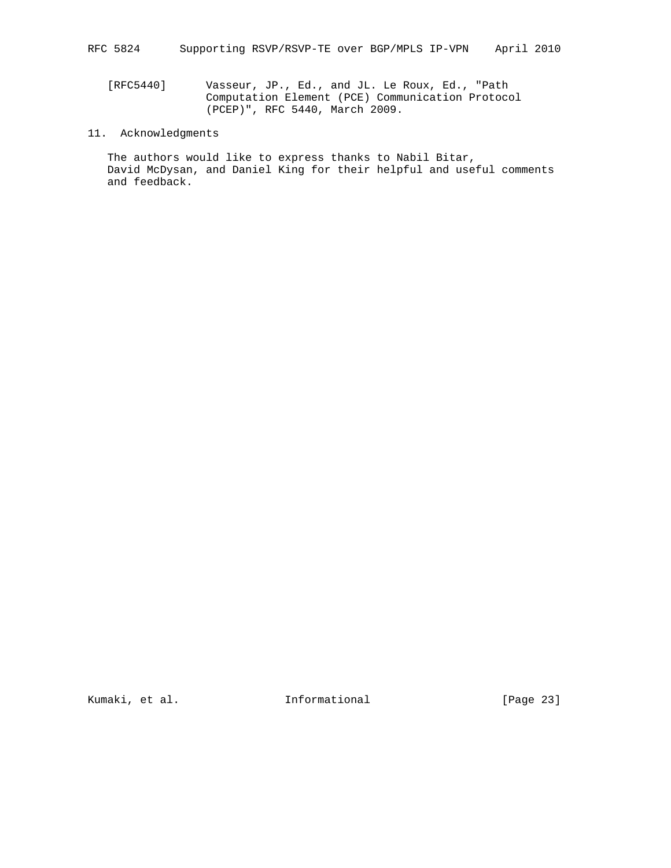[RFC5440] Vasseur, JP., Ed., and JL. Le Roux, Ed., "Path Computation Element (PCE) Communication Protocol (PCEP)", RFC 5440, March 2009.

# 11. Acknowledgments

 The authors would like to express thanks to Nabil Bitar, David McDysan, and Daniel King for their helpful and useful comments and feedback.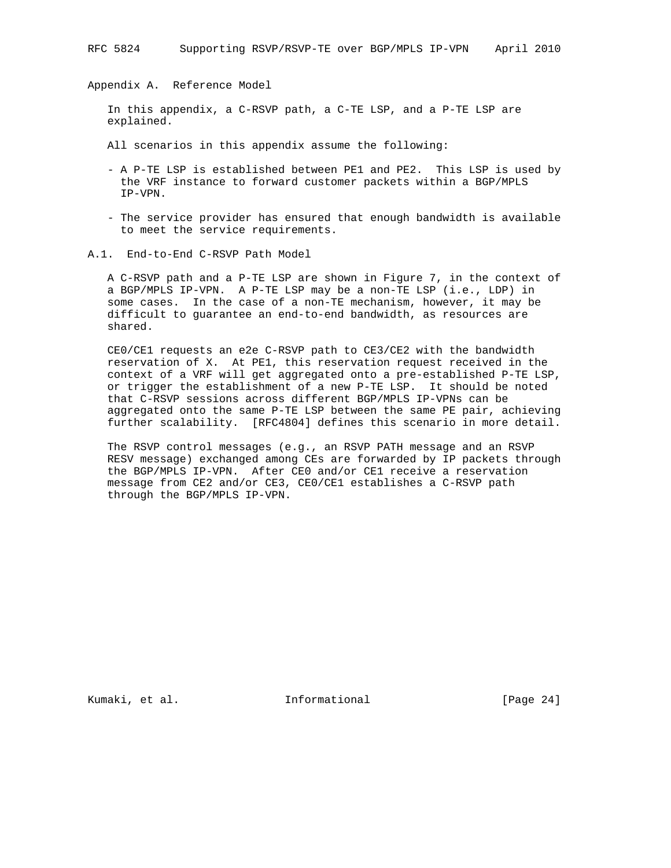Appendix A. Reference Model

 In this appendix, a C-RSVP path, a C-TE LSP, and a P-TE LSP are explained.

All scenarios in this appendix assume the following:

- A P-TE LSP is established between PE1 and PE2. This LSP is used by the VRF instance to forward customer packets within a BGP/MPLS IP-VPN.
- The service provider has ensured that enough bandwidth is available to meet the service requirements.
- A.1. End-to-End C-RSVP Path Model

 A C-RSVP path and a P-TE LSP are shown in Figure 7, in the context of a BGP/MPLS IP-VPN. A P-TE LSP may be a non-TE LSP (i.e., LDP) in some cases. In the case of a non-TE mechanism, however, it may be difficult to guarantee an end-to-end bandwidth, as resources are shared.

 CE0/CE1 requests an e2e C-RSVP path to CE3/CE2 with the bandwidth reservation of X. At PE1, this reservation request received in the context of a VRF will get aggregated onto a pre-established P-TE LSP, or trigger the establishment of a new P-TE LSP. It should be noted that C-RSVP sessions across different BGP/MPLS IP-VPNs can be aggregated onto the same P-TE LSP between the same PE pair, achieving further scalability. [RFC4804] defines this scenario in more detail.

 The RSVP control messages (e.g., an RSVP PATH message and an RSVP RESV message) exchanged among CEs are forwarded by IP packets through the BGP/MPLS IP-VPN. After CE0 and/or CE1 receive a reservation message from CE2 and/or CE3, CE0/CE1 establishes a C-RSVP path through the BGP/MPLS IP-VPN.

Kumaki, et al. 10 Informational [Page 24]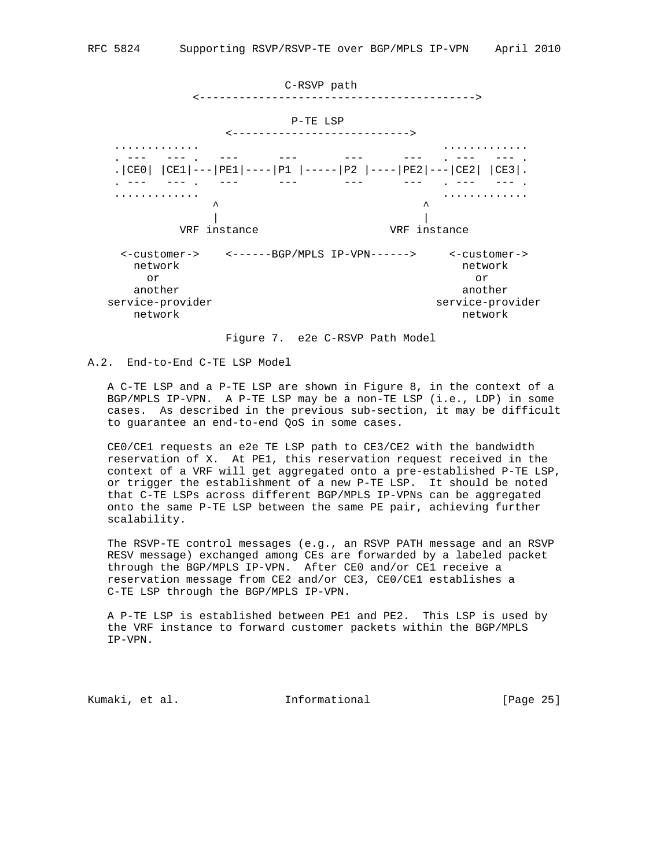

Figure 7. e2e C-RSVP Path Model

## A.2. End-to-End C-TE LSP Model

 A C-TE LSP and a P-TE LSP are shown in Figure 8, in the context of a BGP/MPLS IP-VPN. A P-TE LSP may be a non-TE LSP (i.e., LDP) in some cases. As described in the previous sub-section, it may be difficult to guarantee an end-to-end QoS in some cases.

 CE0/CE1 requests an e2e TE LSP path to CE3/CE2 with the bandwidth reservation of X. At PE1, this reservation request received in the context of a VRF will get aggregated onto a pre-established P-TE LSP, or trigger the establishment of a new P-TE LSP. It should be noted that C-TE LSPs across different BGP/MPLS IP-VPNs can be aggregated onto the same P-TE LSP between the same PE pair, achieving further scalability.

 The RSVP-TE control messages (e.g., an RSVP PATH message and an RSVP RESV message) exchanged among CEs are forwarded by a labeled packet through the BGP/MPLS IP-VPN. After CE0 and/or CE1 receive a reservation message from CE2 and/or CE3, CE0/CE1 establishes a C-TE LSP through the BGP/MPLS IP-VPN.

 A P-TE LSP is established between PE1 and PE2. This LSP is used by the VRF instance to forward customer packets within the BGP/MPLS IP-VPN.

Kumaki, et al. Informational [Page 25]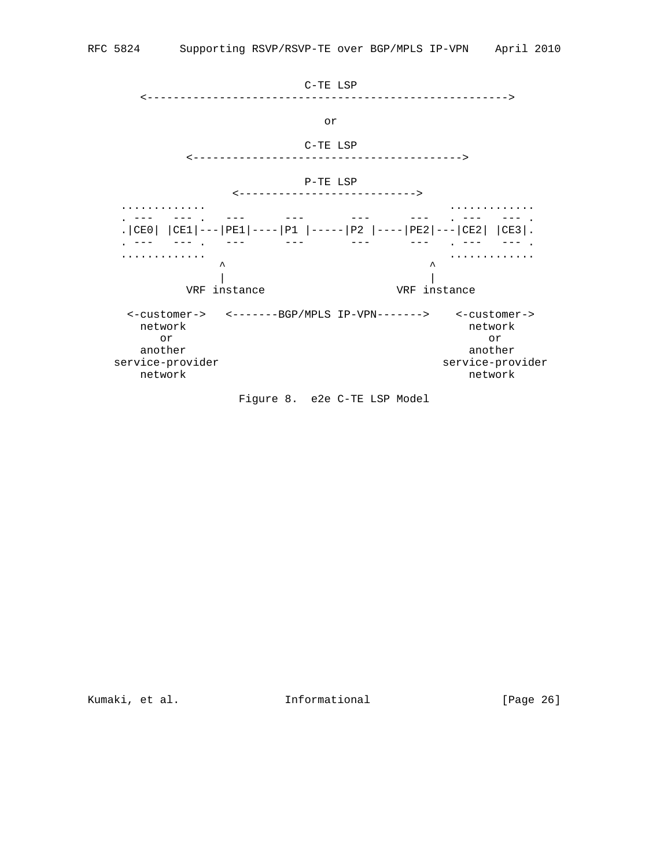

Figure 8. e2e C-TE LSP Model

Kumaki, et al. 10 Informational [Page 26]